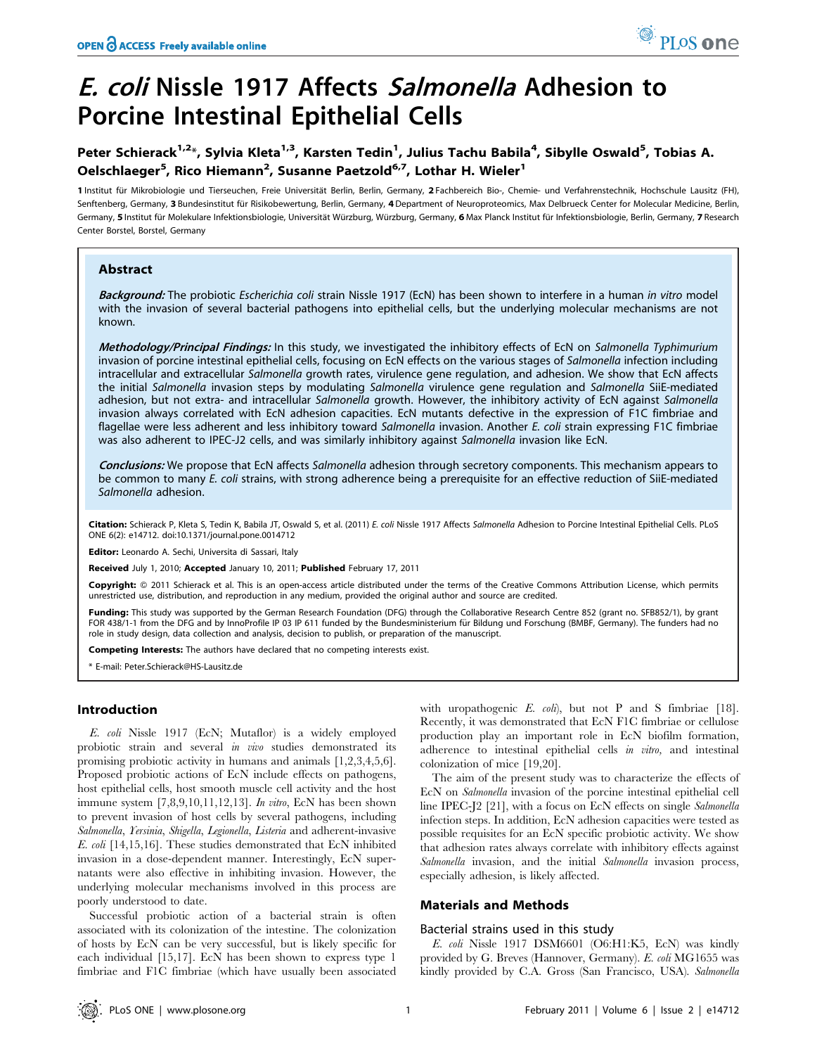# E. coli Nissle 1917 Affects Salmonella Adhesion to Porcine Intestinal Epithelial Cells

Peter Schierack<sup>1,2</sup>\*, Sylvia Kleta<sup>1,3</sup>, Karsten Tedin<sup>1</sup>, Julius Tachu Babila<sup>4</sup>, Sibylle Oswald<sup>5</sup>, Tobias A. Oelschlaeger<sup>5</sup>, Rico Hiemann<sup>2</sup>, Susanne Paetzold<sup>6,7</sup>, Lothar H. Wieler<sup>1</sup>

1 Institut für Mikrobiologie und Tierseuchen, Freie Universität Berlin, Berlin, Germany, 2 Fachbereich Bio-, Chemie- und Verfahrenstechnik, Hochschule Lausitz (FH), Senftenberg, Germany, 3 Bundesinstitut für Risikobewertung, Berlin, Germany, 4 Department of Neuroproteomics, Max Delbrueck Center for Molecular Medicine, Berlin, Germany, 5 Institut für Molekulare Infektionsbiologie, Universität Würzburg, Würzburg, Germany, 6 Max Planck Institut für Infektionsbiologie, Berlin, Germany, 7 Research Center Borstel, Borstel, Germany

# Abstract

Background: The probiotic Escherichia coli strain Nissle 1917 (EcN) has been shown to interfere in a human in vitro model with the invasion of several bacterial pathogens into epithelial cells, but the underlying molecular mechanisms are not known.

Methodology/Principal Findings: In this study, we investigated the inhibitory effects of EcN on Salmonella Typhimurium invasion of porcine intestinal epithelial cells, focusing on EcN effects on the various stages of Salmonella infection including intracellular and extracellular Salmonella growth rates, virulence gene regulation, and adhesion. We show that EcN affects the initial Salmonella invasion steps by modulating Salmonella virulence gene regulation and Salmonella SiiE-mediated adhesion, but not extra- and intracellular Salmonella growth. However, the inhibitory activity of EcN against Salmonella invasion always correlated with EcN adhesion capacities. EcN mutants defective in the expression of F1C fimbriae and flagellae were less adherent and less inhibitory toward Salmonella invasion. Another E. coli strain expressing F1C fimbriae was also adherent to IPEC-J2 cells, and was similarly inhibitory against Salmonella invasion like EcN.

Conclusions: We propose that EcN affects Salmonella adhesion through secretory components. This mechanism appears to be common to many E. coli strains, with strong adherence being a prerequisite for an effective reduction of SiiE-mediated Salmonella adhesion.

Citation: Schierack P, Kleta S, Tedin K, Babila JT, Oswald S, et al. (2011) E. coli Nissle 1917 Affects Salmonella Adhesion to Porcine Intestinal Epithelial Cells. PLoS ONE 6(2): e14712. doi:10.1371/journal.pone.0014712

Editor: Leonardo A. Sechi, Universita di Sassari, Italy

Received July 1, 2010; Accepted January 10, 2011; Published February 17, 2011

Copyright: © 2011 Schierack et al. This is an open-access article distributed under the terms of the Creative Commons Attribution License, which permits unrestricted use, distribution, and reproduction in any medium, provided the original author and source are credited.

Funding: This study was supported by the German Research Foundation (DFG) through the Collaborative Research Centre 852 (grant no. SFB852/1), by grant FOR 438/1-1 from the DFG and by InnoProfile IP 03 IP 611 funded by the Bundesministerium für Bildung und Forschung (BMBF, Germany). The funders had no role in study design, data collection and analysis, decision to publish, or preparation of the manuscript.

Competing Interests: The authors have declared that no competing interests exist.

\* E-mail: Peter.Schierack@HS-Lausitz.de

# Introduction

E. coli Nissle 1917 (EcN; Mutaflor) is a widely employed probiotic strain and several in vivo studies demonstrated its promising probiotic activity in humans and animals [1,2,3,4,5,6]. Proposed probiotic actions of EcN include effects on pathogens, host epithelial cells, host smooth muscle cell activity and the host immune system  $[7,8,9,10,11,12,13]$ . In vitro, EcN has been shown to prevent invasion of host cells by several pathogens, including Salmonella, Yersinia, Shigella, Legionella, Listeria and adherent-invasive E. coli [14,15,16]. These studies demonstrated that EcN inhibited invasion in a dose-dependent manner. Interestingly, EcN supernatants were also effective in inhibiting invasion. However, the underlying molecular mechanisms involved in this process are poorly understood to date.

Successful probiotic action of a bacterial strain is often associated with its colonization of the intestine. The colonization of hosts by EcN can be very successful, but is likely specific for each individual [15,17]. EcN has been shown to express type 1 fimbriae and F1C fimbriae (which have usually been associated with uropathogenic  $E.$  coli), but not P and S fimbriae [18]. Recently, it was demonstrated that EcN F1C fimbriae or cellulose production play an important role in EcN biofilm formation, adherence to intestinal epithelial cells in vitro, and intestinal colonization of mice [19,20].

The aim of the present study was to characterize the effects of EcN on Salmonella invasion of the porcine intestinal epithelial cell line IPEC-J2 [21], with a focus on EcN effects on single Salmonella infection steps. In addition, EcN adhesion capacities were tested as possible requisites for an EcN specific probiotic activity. We show that adhesion rates always correlate with inhibitory effects against Salmonella invasion, and the initial Salmonella invasion process, especially adhesion, is likely affected.

# Materials and Methods

### Bacterial strains used in this study

E. coli Nissle 1917 DSM6601 (O6:H1:K5, EcN) was kindly provided by G. Breves (Hannover, Germany). E. coli MG1655 was kindly provided by C.A. Gross (San Francisco, USA). Salmonella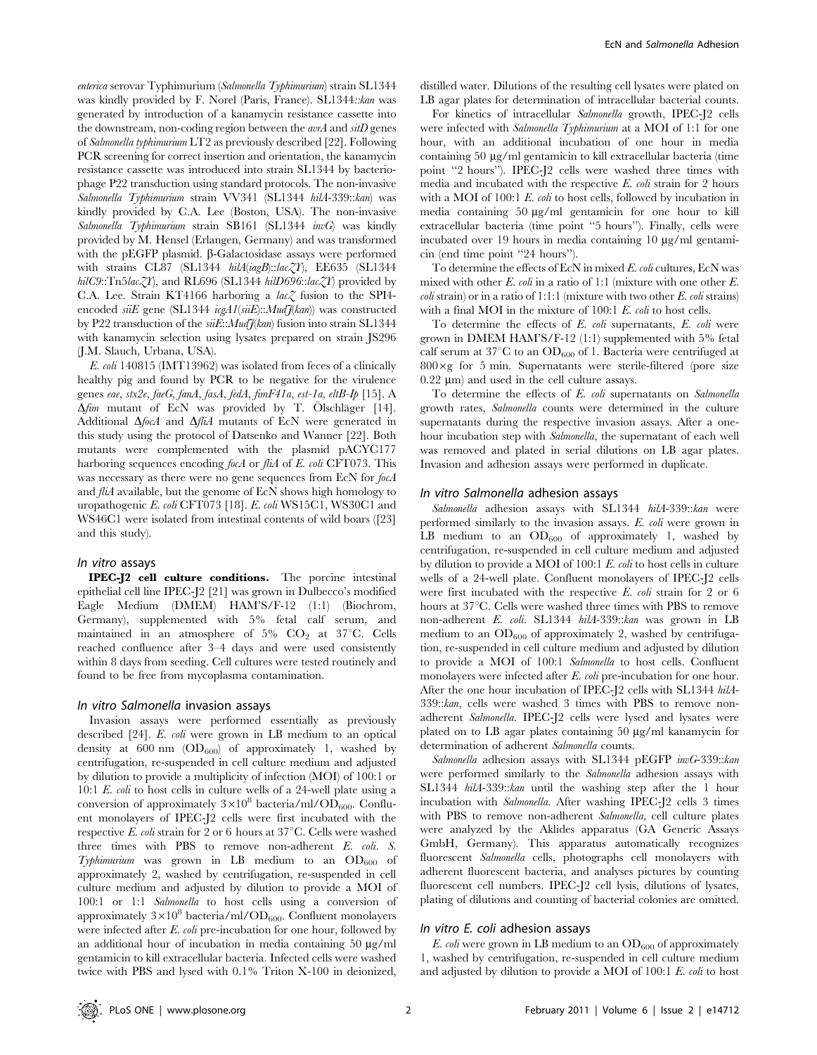enterica serovar Typhimurium (Salmonella Typhimurium) strain SL1344 was kindly provided by F. Norel (Paris, France). SL1344::kan was generated by introduction of a kanamycin resistance cassette into the downstream, non-coding region between the avrA and sitD genes of Salmonella typhimurium LT2 as previously described [22]. Following PCR screening for correct insertion and orientation, the kanamycin resistance cassette was introduced into strain SL1344 by bacteriophage P22 transduction using standard protocols. The non-invasive Salmonella Typhimurium strain VV341 (SL1344 hilA-339::kan) was kindly provided by C.A. Lee (Boston, USA). The non-invasive Salmonella Typhimurium strain SB161 (SL1344 invG) was kindly provided by M. Hensel (Erlangen, Germany) and was transformed with the pEGFP plasmid.  $\beta$ -Galactosidase assays were performed with strains CL87 (SL1344 hilA(iagB)::lacZY), EE635 (SL1344 hilC9::Tn5lac $ZY$ ), and RL696 (SL1344 hilD696::lac $ZY$ ) provided by C.A. Lee. Strain KT4166 harboring a lac $Z$  fusion to the SPI4encoded siiE gene (SL1344 icgA1(siiE):: $Mul\widetilde{\mathcal{J}}(kan)$  was constructed by P22 transduction of the  $siE:MulH$ <sub>(kan</sub>) fusion into strain SL1344 with kanamycin selection using lysates prepared on strain JS296 (J.M. Slauch, Urbana, USA).

E. coli 140815 (IMT13962) was isolated from feces of a clinically healthy pig and found by PCR to be negative for the virulence genes eae, stx2e, faeG, fanA, fasA, fedA, fimF41a, est-1a, eltB-Ip [15]. A  $\Delta f$ *im* mutant of EcN was provided by T. Ölschläger [14]. Additional  $\Delta f$ ocA and  $\Delta f$ liA mutants of EcN were generated in this study using the protocol of Datsenko and Wanner [22]. Both mutants were complemented with the plasmid pACYC177 harboring sequences encoding focA or fliA of E. coli CFT073. This was necessary as there were no gene sequences from EcN for focA and fliA available, but the genome of EcN shows high homology to uropathogenic E. coli CFT073 [18]. E. coli WS15C1, WS30C1 and WS46C1 were isolated from intestinal contents of wild boars ([23] and this study).

#### In vitro assays

IPEC-J2 cell culture conditions. The porcine intestinal epithelial cell line IPEC-J2 [21] was grown in Dulbecco's modified Eagle Medium (DMEM) HAM'S/F-12 (1:1) (Biochrom, Germany), supplemented with 5% fetal calf serum, and maintained in an atmosphere of 5%  $CO<sub>2</sub>$  at 37°C. Cells reached confluence after 3–4 days and were used consistently within 8 days from seeding. Cell cultures were tested routinely and found to be free from mycoplasma contamination.

### In vitro Salmonella invasion assays

Invasion assays were performed essentially as previously described [24]. E. coli were grown in LB medium to an optical density at 600 nm  $(OD_{600})$  of approximately 1, washed by centrifugation, re-suspended in cell culture medium and adjusted by dilution to provide a multiplicity of infection (MOI) of 100:1 or 10:1 E. coli to host cells in culture wells of a 24-well plate using a conversion of approximately  $3\times10^8$  bacteria/ml/OD<sub>600</sub>. Confluent monolayers of IPEC-J2 cells were first incubated with the respective E. coli strain for 2 or 6 hours at  $37^{\circ}$ C. Cells were washed three times with PBS to remove non-adherent E. coli. S. Typhimurium was grown in LB medium to an  $OD_{600}$  of approximately 2, washed by centrifugation, re-suspended in cell culture medium and adjusted by dilution to provide a MOI of 100:1 or 1:1 Salmonella to host cells using a conversion of approximately  $3\times10^8$  bacteria/ml/OD<sub>600</sub>. Confluent monolayers were infected after E. coli pre-incubation for one hour, followed by an additional hour of incubation in media containing  $50 \mu g/ml$ gentamicin to kill extracellular bacteria. Infected cells were washed twice with PBS and lysed with 0.1% Triton X-100 in deionized,

distilled water. Dilutions of the resulting cell lysates were plated on LB agar plates for determination of intracellular bacterial counts.

For kinetics of intracellular Salmonella growth, IPEC-J2 cells were infected with *Salmonella Typhimurium* at a MOI of 1:1 for one hour, with an additional incubation of one hour in media containing 50 µg/ml gentamicin to kill extracellular bacteria (time point ''2 hours''). IPEC-J2 cells were washed three times with media and incubated with the respective E. coli strain for 2 hours with a MOI of 100:1  $E.$  coli to host cells, followed by incubation in media containing  $50 \mu g/ml$  gentamicin for one hour to kill extracellular bacteria (time point ''5 hours''). Finally, cells were incubated over 19 hours in media containing  $10 \mu g/ml$  gentamicin (end time point ''24 hours'').

To determine the effects of EcN in mixed E. coli cultures, EcN was mixed with other E. coli in a ratio of 1:1 (mixture with one other E. *coli* strain) or in a ratio of 1:1:1 (mixture with two other  $E$ . *coli* strains) with a final MOI in the mixture of 100:1 E. coli to host cells.

To determine the effects of E. coli supernatants, E. coli were grown in DMEM HAM'S/F-12 (1:1) supplemented with 5% fetal calf serum at  $37^{\circ}$ C to an OD<sub>600</sub> of 1. Bacteria were centrifuged at  $800 \times g$  for 5 min. Supernatants were sterile-filtered (pore size  $0.22 \mu m$ ) and used in the cell culture assays.

To determine the effects of E. coli supernatants on Salmonella growth rates, Salmonella counts were determined in the culture supernatants during the respective invasion assays. After a onehour incubation step with Salmonella, the supernatant of each well was removed and plated in serial dilutions on LB agar plates. Invasion and adhesion assays were performed in duplicate.

#### In vitro Salmonella adhesion assays

Salmonella adhesion assays with SL1344 hilA-339::kan were performed similarly to the invasion assays. E. coli were grown in LB medium to an  $OD_{600}$  of approximately 1, washed by centrifugation, re-suspended in cell culture medium and adjusted by dilution to provide a MOI of 100:1 E. coli to host cells in culture wells of a 24-well plate. Confluent monolayers of IPEC-J2 cells were first incubated with the respective E. coli strain for 2 or 6 hours at  $37^{\circ}$ C. Cells were washed three times with PBS to remove non-adherent E. coli. SL1344 hilA-339::kan was grown in LB medium to an  $OD_{600}$  of approximately 2, washed by centrifugation, re-suspended in cell culture medium and adjusted by dilution to provide a MOI of 100:1 Salmonella to host cells. Confluent monolayers were infected after E. coli pre-incubation for one hour. After the one hour incubation of IPEC-J2 cells with SL1344 hilA-339::kan, cells were washed 3 times with PBS to remove nonadherent Salmonella. IPEC-J2 cells were lysed and lysates were plated on to LB agar plates containing  $50 \mu g/ml$  kanamycin for determination of adherent Salmonella counts.

Salmonella adhesion assays with SL1344 pEGFP invG-339::kan were performed similarly to the Salmonella adhesion assays with SL1344 hilA-339::kan until the washing step after the 1 hour incubation with Salmonella. After washing IPEC-J2 cells 3 times with PBS to remove non-adherent Salmonella, cell culture plates were analyzed by the Aklides apparatus (GA Generic Assays GmbH, Germany). This apparatus automatically recognizes fluorescent Salmonella cells, photographs cell monolayers with adherent fluorescent bacteria, and analyses pictures by counting fluorescent cell numbers. IPEC-J2 cell lysis, dilutions of lysates, plating of dilutions and counting of bacterial colonies are omitted.

## In vitro E. coli adhesion assays

 $E.$  coli were grown in LB medium to an  $OD_{600}$  of approximately 1, washed by centrifugation, re-suspended in cell culture medium and adjusted by dilution to provide a MOI of 100:1 E. coli to host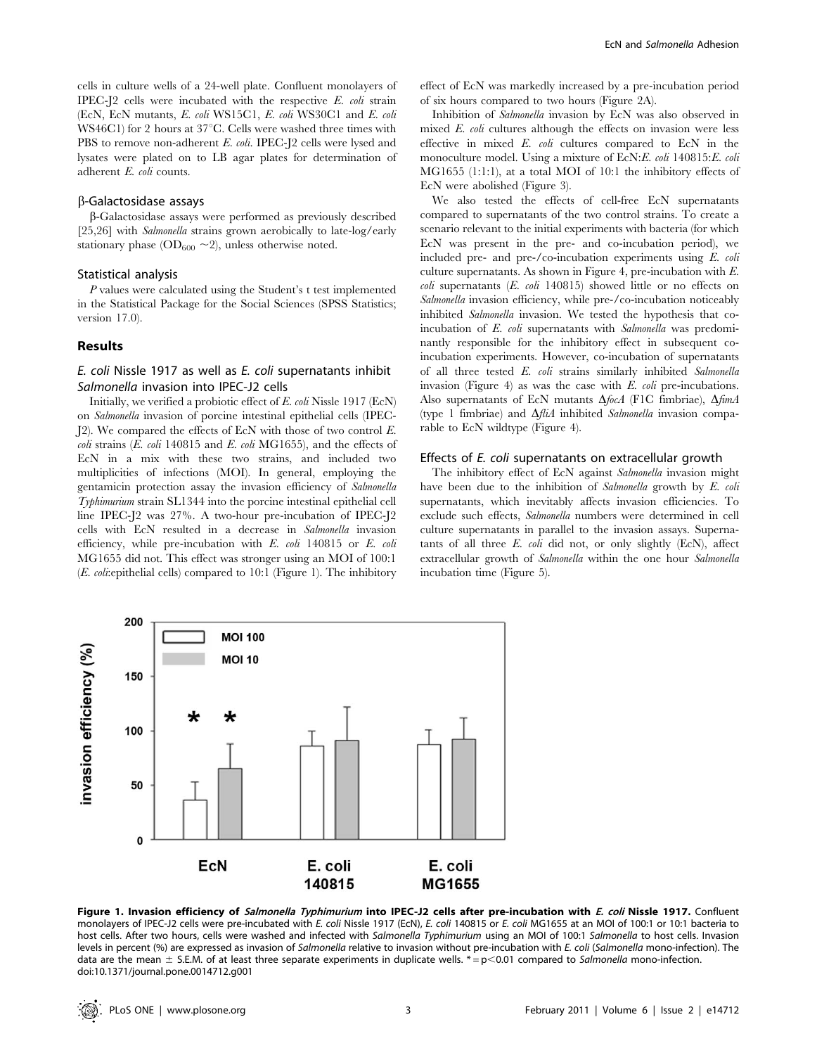cells in culture wells of a 24-well plate. Confluent monolayers of IPEC-J2 cells were incubated with the respective  $E$ . *coli* strain (EcN, EcN mutants, E. coli WS15C1, E. coli WS30C1 and E. coli WS46C1) for 2 hours at  $37^{\circ}$ C. Cells were washed three times with PBS to remove non-adherent E. coli. IPEC-J2 cells were lysed and lysates were plated on to LB agar plates for determination of adherent E. coli counts.

## b-Galactosidase assays

b-Galactosidase assays were performed as previously described [25,26] with *Salmonella* strains grown aerobically to late-log/early stationary phase ( $OD_{600} \sim 2$ ), unless otherwise noted.

# Statistical analysis

P values were calculated using the Student's t test implemented in the Statistical Package for the Social Sciences (SPSS Statistics; version 17.0).

# Results

# E. coli Nissle 1917 as well as E. coli supernatants inhibit Salmonella invasion into IPEC-J2 cells

Initially, we verified a probiotic effect of E. coli Nissle 1917 (EcN) on Salmonella invasion of porcine intestinal epithelial cells (IPEC-J2). We compared the effects of EcN with those of two control E.  $\text{coli}$  strains (*E. coli* 140815 and *E. coli* MG1655), and the effects of EcN in a mix with these two strains, and included two multiplicities of infections (MOI). In general, employing the gentamicin protection assay the invasion efficiency of Salmonella Typhimurium strain SL1344 into the porcine intestinal epithelial cell line IPEC-J2 was 27%. A two-hour pre-incubation of IPEC-J2 cells with EcN resulted in a decrease in Salmonella invasion efficiency, while pre-incubation with E. coli 140815 or E. coli MG1655 did not. This effect was stronger using an MOI of 100:1 (E. coli:epithelial cells) compared to 10:1 (Figure 1). The inhibitory

effect of EcN was markedly increased by a pre-incubation period of six hours compared to two hours (Figure 2A).

Inhibition of Salmonella invasion by EcN was also observed in mixed E. coli cultures although the effects on invasion were less effective in mixed E. coli cultures compared to EcN in the monoculture model. Using a mixture of EcN:E. coli 140815:E. coli MG1655 (1:1:1), at a total MOI of 10:1 the inhibitory effects of EcN were abolished (Figure 3).

We also tested the effects of cell-free EcN supernatants compared to supernatants of the two control strains. To create a scenario relevant to the initial experiments with bacteria (for which EcN was present in the pre- and co-incubation period), we included pre- and pre-/co-incubation experiments using E. coli culture supernatants. As shown in Figure 4, pre-incubation with E. coli supernatants (E. coli 140815) showed little or no effects on Salmonella invasion efficiency, while pre-/co-incubation noticeably inhibited Salmonella invasion. We tested the hypothesis that coincubation of E. coli supernatants with Salmonella was predominantly responsible for the inhibitory effect in subsequent coincubation experiments. However, co-incubation of supernatants of all three tested E. coli strains similarly inhibited Salmonella invasion (Figure 4) as was the case with E. *coli* pre-incubations. Also supernatants of EcN mutants  $\Delta f$ ocA (F1C fimbriae),  $\Delta f$ imA (type 1 fimbriae) and  $\Delta f \hat{l}$  inhibited *Salmonella* invasion comparable to EcN wildtype (Figure 4).

## Effects of E. coli supernatants on extracellular growth

The inhibitory effect of EcN against Salmonella invasion might have been due to the inhibition of Salmonella growth by E. coli supernatants, which inevitably affects invasion efficiencies. To exclude such effects, Salmonella numbers were determined in cell culture supernatants in parallel to the invasion assays. Supernatants of all three  $E.$  coli did not, or only slightly (EcN), affect extracellular growth of Salmonella within the one hour Salmonella incubation time (Figure 5).



Figure 1. Invasion efficiency of Salmonella Typhimurium into IPEC-J2 cells after pre-incubation with E. coli Nissle 1917. Confluent monolayers of IPEC-J2 cells were pre-incubated with E. coli Nissle 1917 (EcN), E. coli 140815 or E. coli MG1655 at an MOI of 100:1 or 10:1 bacteria to host cells. After two hours, cells were washed and infected with Salmonella Typhimurium using an MOI of 100:1 Salmonella to host cells. Invasion levels in percent (%) are expressed as invasion of Salmonella relative to invasion without pre-incubation with E. coli (Salmonella mono-infection). The data are the mean  $\pm$  S.E.M. of at least three separate experiments in duplicate wells.  $* = p \lt 0.01$  compared to Salmonella mono-infection. doi:10.1371/journal.pone.0014712.g001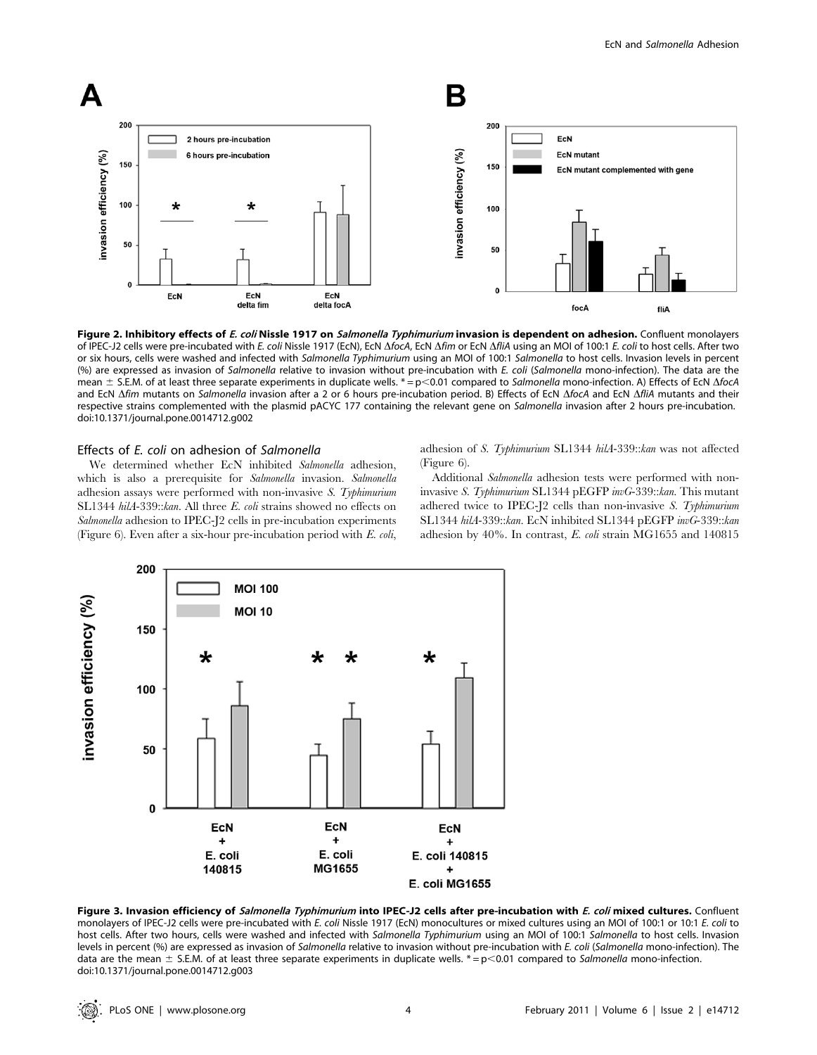

Figure 2. Inhibitory effects of E. coli Nissle 1917 on Salmonella Typhimurium invasion is dependent on adhesion. Confluent monolayers of IPEC-J2 cells were pre-incubated with E. coli Nissle 1917 (EcN), EcN  $\Delta f$ ocA, EcN  $\Delta f$ im or EcN  $\Delta f$ il A using an MOI of 100:1 E. coli to host cells. After two or six hours, cells were washed and infected with Salmonella Typhimurium using an MOI of 100:1 Salmonella to host cells. Invasion levels in percent (%) are expressed as invasion of Salmonella relative to invasion without pre-incubation with E. coli (Salmonella mono-infection). The data are the mean  $\pm$  S.E.M. of at least three separate experiments in duplicate wells. \*= p<0.01 compared to Salmonella mono-infection. A) Effects of EcN  $\Delta$ focA and EcN Afim mutants on Salmonella invasion after a 2 or 6 hours pre-incubation period. B) Effects of EcN AfocA and EcN AfliA mutants and their respective strains complemented with the plasmid pACYC 177 containing the relevant gene on Salmonella invasion after 2 hours pre-incubation. doi:10.1371/journal.pone.0014712.g002

## Effects of E. coli on adhesion of Salmonella

We determined whether EcN inhibited Salmonella adhesion, which is also a prerequisite for *Salmonella* invasion. *Salmonella* adhesion assays were performed with non-invasive S. Typhimurium SL1344 hilA-339::kan. All three E. coli strains showed no effects on Salmonella adhesion to IPEC-J2 cells in pre-incubation experiments (Figure 6). Even after a six-hour pre-incubation period with E. coli,

adhesion of S. Typhimurium SL1344 hilA-339::kan was not affected (Figure 6).

Additional Salmonella adhesion tests were performed with noninvasive S. Typhimurium SL1344 pEGFP invG-339::kan. This mutant adhered twice to IPEC-J2 cells than non-invasive S. Typhimurium SL1344 hilA-339::kan. EcN inhibited SL1344 pEGFP invG-339::kan adhesion by 40%. In contrast, E. coli strain MG1655 and 140815



Figure 3. Invasion efficiency of Salmonella Typhimurium into IPEC-J2 cells after pre-incubation with E. coli mixed cultures. Confluent monolayers of IPEC-J2 cells were pre-incubated with E. coli Nissle 1917 (EcN) monocultures or mixed cultures using an MOI of 100:1 or 10:1 E. coli to host cells. After two hours, cells were washed and infected with Salmonella Typhimurium using an MOI of 100:1 Salmonella to host cells. Invasion levels in percent (%) are expressed as invasion of Salmonella relative to invasion without pre-incubation with E. coli (Salmonella mono-infection). The data are the mean  $\pm$  S.E.M. of at least three separate experiments in duplicate wells.  $* = p$ <0.01 compared to Salmonella mono-infection. doi:10.1371/journal.pone.0014712.g003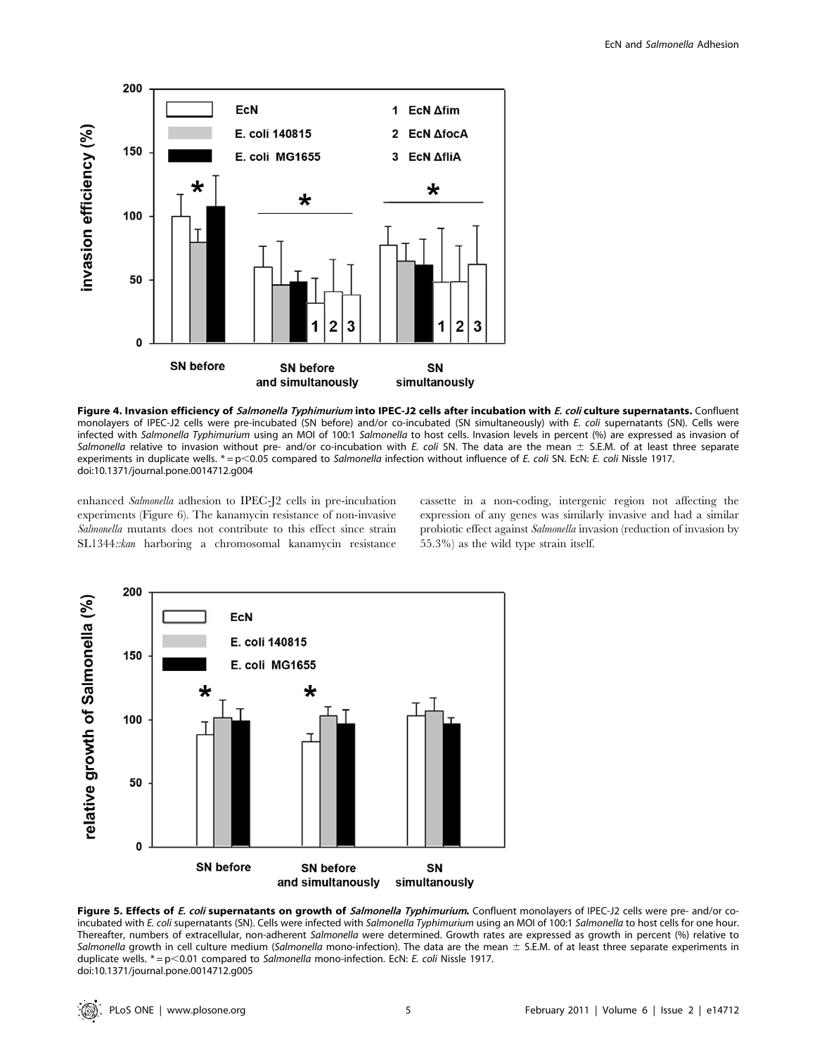

Figure 4. Invasion efficiency of Salmonella Typhimurium into IPEC-J2 cells after incubation with E. coli culture supernatants. Confluent monolayers of IPEC-J2 cells were pre-incubated (SN before) and/or co-incubated (SN simultaneously) with E. coli supernatants (SN). Cells were infected with Salmonella Typhimurium using an MOI of 100:1 Salmonella to host cells. Invasion levels in percent (%) are expressed as invasion of Salmonella relative to invasion without pre- and/or co-incubation with E. coli SN. The data are the mean  $\pm$  S.E.M. of at least three separate experiments in duplicate wells.  $* = p < 0.05$  compared to Salmonella infection without influence of E. coli SN. EcN: E. coli Nissle 1917. doi:10.1371/journal.pone.0014712.g004

enhanced Salmonella adhesion to IPEC-J2 cells in pre-incubation experiments (Figure 6). The kanamycin resistance of non-invasive Salmonella mutants does not contribute to this effect since strain SL1344::kan harboring a chromosomal kanamycin resistance cassette in a non-coding, intergenic region not affecting the expression of any genes was similarly invasive and had a similar probiotic effect against Salmonella invasion (reduction of invasion by 55.3%) as the wild type strain itself.



Figure 5. Effects of E. coli supernatants on growth of Salmonella Typhimurium. Confluent monolayers of IPEC-J2 cells were pre- and/or coincubated with E. coli supernatants (SN). Cells were infected with Salmonella Typhimurium using an MOI of 100:1 Salmonella to host cells for one hour. Thereafter, numbers of extracellular, non-adherent Salmonella were determined. Growth rates are expressed as growth in percent (%) relative to Salmonella growth in cell culture medium (Salmonella mono-infection). The data are the mean  $\pm$  S.E.M. of at least three separate experiments in duplicate wells.  $* = p < 0.01$  compared to Salmonella mono-infection. EcN: E. coli Nissle 1917. doi:10.1371/journal.pone.0014712.g005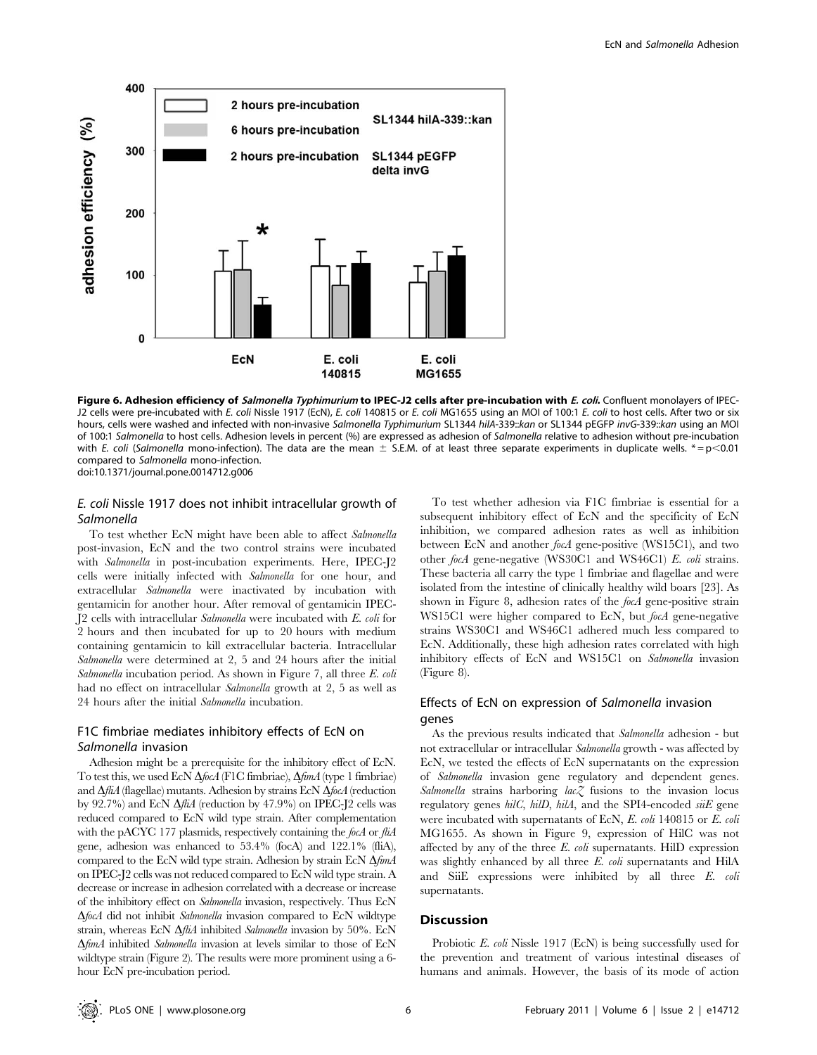

Figure 6. Adhesion efficiency of Salmonella Typhimurium to IPEC-J2 cells after pre-incubation with E. coli. Confluent monolayers of IPEC-J2 cells were pre-incubated with E. coli Nissle 1917 (EcN), E. coli 140815 or E. coli MG1655 using an MOI of 100:1 E. coli to host cells. After two or six hours, cells were washed and infected with non-invasive Salmonella Typhimurium SL1344 hilA-339:: kan or SL1344 pEGFP invG-339:: kan using an MOI of 100:1 Salmonella to host cells. Adhesion levels in percent (%) are expressed as adhesion of Salmonella relative to adhesion without pre-incubation with E. coli (Salmonella mono-infection). The data are the mean  $\pm$  S.E.M. of at least three separate experiments in duplicate wells.  $* = p < 0.01$ compared to Salmonella mono-infection. doi:10.1371/journal.pone.0014712.g006

# E. coli Nissle 1917 does not inhibit intracellular growth of Salmonella

To test whether EcN might have been able to affect Salmonella post-invasion, EcN and the two control strains were incubated with *Salmonella* in post-incubation experiments. Here, IPEC-J2 cells were initially infected with Salmonella for one hour, and extracellular Salmonella were inactivated by incubation with gentamicin for another hour. After removal of gentamicin IPEC-J2 cells with intracellular Salmonella were incubated with E. coli for 2 hours and then incubated for up to 20 hours with medium containing gentamicin to kill extracellular bacteria. Intracellular Salmonella were determined at 2, 5 and 24 hours after the initial Salmonella incubation period. As shown in Figure 7, all three E. coli had no effect on intracellular Salmonella growth at 2, 5 as well as 24 hours after the initial Salmonella incubation.

# F1C fimbriae mediates inhibitory effects of EcN on Salmonella invasion

Adhesion might be a prerequisite for the inhibitory effect of EcN. To test this, we used EcN  $\Delta f$ ocA (F1C fimbriae),  $\Delta f$ mA (type 1 fimbriae) and  $\Delta f iA$  (flagellae) mutants. Adhesion by strains EcN  $\Delta f$ ocA (reduction by  $92.7\%$ ) and EcN  $\Delta$ *fliA* (reduction by 47.9%) on IPEC-J2 cells was reduced compared to EcN wild type strain. After complementation with the pACYC 177 plasmids, respectively containing the focA or fliA gene, adhesion was enhanced to 53.4% (focA) and 122.1% (fliA), compared to the EcN wild type strain. Adhesion by strain EcN  $\Delta f$ *mA* on IPEC-J2 cells was not reduced compared to EcN wild type strain. A decrease or increase in adhesion correlated with a decrease or increase of the inhibitory effect on Salmonella invasion, respectively. Thus EcN  $\Delta$ focA did not inhibit Salmonella invasion compared to EcN wildtype strain, whereas EcN  $\Delta f$ i $\Delta f$  inhibited Salmonella invasion by 50%. EcN  $\Delta f$ *mA* inhibited *Salmonella* invasion at levels similar to those of EcN wildtype strain (Figure 2). The results were more prominent using a 6 hour EcN pre-incubation period.

To test whether adhesion via F1C fimbriae is essential for a subsequent inhibitory effect of EcN and the specificity of EcN inhibition, we compared adhesion rates as well as inhibition between EcN and another focA gene-positive (WS15C1), and two other focA gene-negative (WS30C1 and WS46C1) E. coli strains. These bacteria all carry the type 1 fimbriae and flagellae and were isolated from the intestine of clinically healthy wild boars [23]. As shown in Figure 8, adhesion rates of the focA gene-positive strain WS15C1 were higher compared to EcN, but *focA* gene-negative strains WS30C1 and WS46C1 adhered much less compared to EcN. Additionally, these high adhesion rates correlated with high inhibitory effects of EcN and WS15C1 on Salmonella invasion (Figure 8).

# Effects of EcN on expression of Salmonella invasion genes

As the previous results indicated that Salmonella adhesion - but not extracellular or intracellular Salmonella growth - was affected by EcN, we tested the effects of EcN supernatants on the expression of Salmonella invasion gene regulatory and dependent genes. Salmonella strains harboring  $lac \mathcal{Z}$  fusions to the invasion locus regulatory genes  $hilC$ ,  $hilD$ ,  $hilA$ , and the SPI4-encoded  $si\ddot{E}$  gene were incubated with supernatants of EcN, E. coli 140815 or E. coli MG1655. As shown in Figure 9, expression of HilC was not affected by any of the three  $E$ . *coli* supernatants. HilD expression was slightly enhanced by all three E. coli supernatants and HilA and SiiE expressions were inhibited by all three E. coli supernatants.

## Discussion

Probiotic E. coli Nissle 1917 (EcN) is being successfully used for the prevention and treatment of various intestinal diseases of humans and animals. However, the basis of its mode of action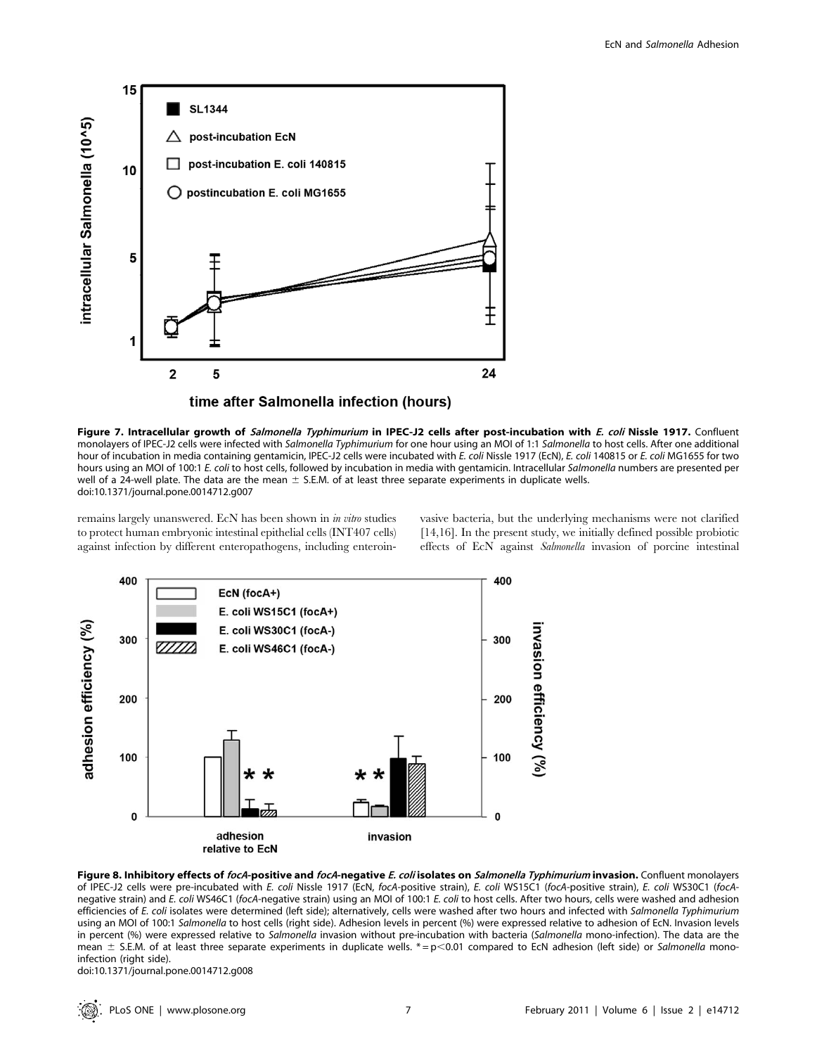

Figure 7. Intracellular growth of Salmonella Typhimurium in IPEC-J2 cells after post-incubation with E. coli Nissle 1917. Confluent monolayers of IPEC-J2 cells were infected with Salmonella Typhimurium for one hour using an MOI of 1:1 Salmonella to host cells. After one additional hour of incubation in media containing gentamicin, IPEC-J2 cells were incubated with E. coli Nissle 1917 (EcN), E. coli 140815 or E. coli MG1655 for two hours using an MOI of 100:1 E. coli to host cells, followed by incubation in media with gentamicin. Intracellular Salmonella numbers are presented per well of a 24-well plate. The data are the mean  $\pm$  S.E.M. of at least three separate experiments in duplicate wells. doi:10.1371/journal.pone.0014712.g007

remains largely unanswered. EcN has been shown in in vitro studies to protect human embryonic intestinal epithelial cells (INT407 cells) against infection by different enteropathogens, including enteroin-

vasive bacteria, but the underlying mechanisms were not clarified [14,16]. In the present study, we initially defined possible probiotic effects of EcN against Salmonella invasion of porcine intestinal





doi:10.1371/journal.pone.0014712.g008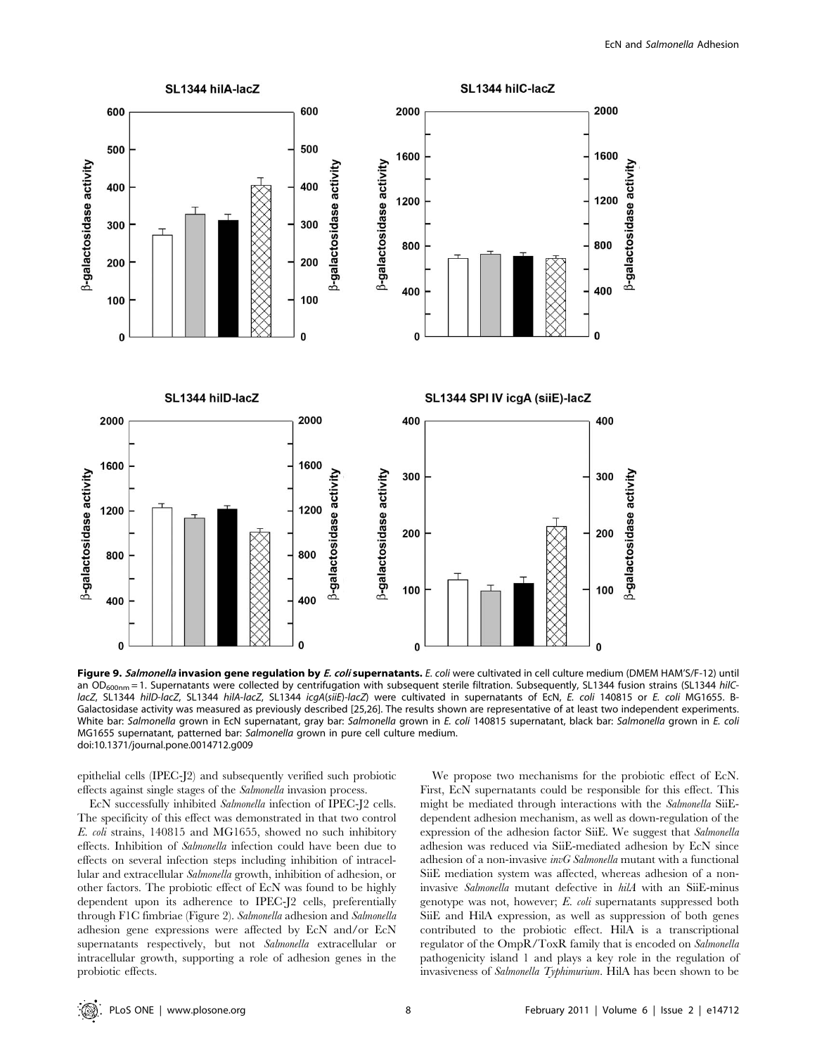

Figure 9. Salmonella invasion gene regulation by E. coli supernatants. E. coli were cultivated in cell culture medium (DMEM HAM'S/F-12) until an  $OD_{600nm}$  = 1. Supernatants were collected by centrifugation with subsequent sterile filtration. Subsequently, SL1344 fusion strains (SL1344 hilClacZ, SL1344 hilD-lacZ, SL1344 hilA-lacZ, SL1344 icgA(siiE)-lacZ) were cultivated in supernatants of EcN, E. coli 140815 or E. coli MG1655. B-Galactosidase activity was measured as previously described [25,26]. The results shown are representative of at least two independent experiments. White bar: Salmonella grown in EcN supernatant, gray bar: Salmonella grown in E. coli 140815 supernatant, black bar: Salmonella grown in E. coli MG1655 supernatant, patterned bar: Salmonella grown in pure cell culture medium. doi:10.1371/journal.pone.0014712.g009

epithelial cells (IPEC-J2) and subsequently verified such probiotic effects against single stages of the Salmonella invasion process.

EcN successfully inhibited Salmonella infection of IPEC-J2 cells. The specificity of this effect was demonstrated in that two control E. coli strains, 140815 and MG1655, showed no such inhibitory effects. Inhibition of Salmonella infection could have been due to effects on several infection steps including inhibition of intracellular and extracellular Salmonella growth, inhibition of adhesion, or other factors. The probiotic effect of EcN was found to be highly dependent upon its adherence to IPEC-J2 cells, preferentially through F1C fimbriae (Figure 2). Salmonella adhesion and Salmonella adhesion gene expressions were affected by EcN and/or EcN supernatants respectively, but not Salmonella extracellular or intracellular growth, supporting a role of adhesion genes in the probiotic effects.

We propose two mechanisms for the probiotic effect of EcN. First, EcN supernatants could be responsible for this effect. This might be mediated through interactions with the Salmonella SiiEdependent adhesion mechanism, as well as down-regulation of the expression of the adhesion factor SiiE. We suggest that Salmonella adhesion was reduced via SiiE-mediated adhesion by EcN since adhesion of a non-invasive *invG Salmonella* mutant with a functional SiiE mediation system was affected, whereas adhesion of a noninvasive Salmonella mutant defective in hilA with an SiiE-minus genotype was not, however; E. coli supernatants suppressed both SiiE and HilA expression, as well as suppression of both genes contributed to the probiotic effect. HilA is a transcriptional regulator of the OmpR/ToxR family that is encoded on Salmonella pathogenicity island 1 and plays a key role in the regulation of invasiveness of Salmonella Typhimurium. HilA has been shown to be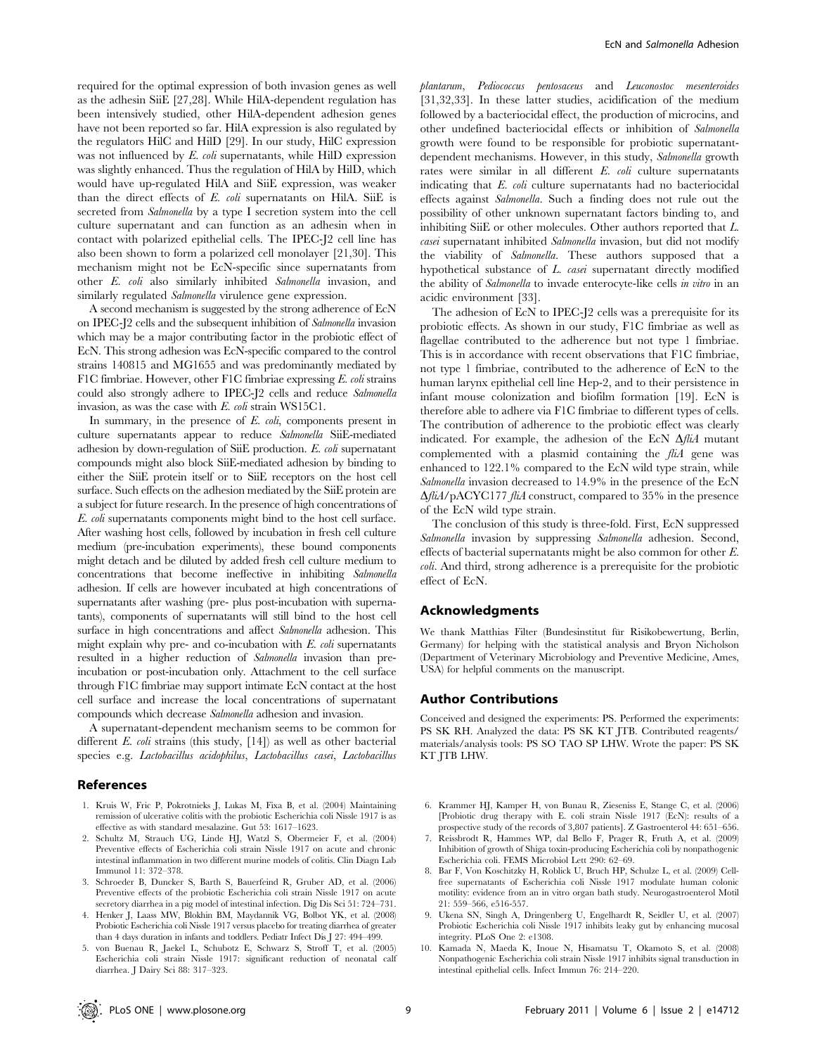required for the optimal expression of both invasion genes as well as the adhesin SiiE [27,28]. While HilA-dependent regulation has been intensively studied, other HilA-dependent adhesion genes have not been reported so far. HilA expression is also regulated by the regulators HilC and HilD [29]. In our study, HilC expression was not influenced by E. coli supernatants, while HilD expression was slightly enhanced. Thus the regulation of HilA by HilD, which would have up-regulated HilA and SiiE expression, was weaker than the direct effects of E. coli supernatants on HilA. SiiE is secreted from Salmonella by a type I secretion system into the cell culture supernatant and can function as an adhesin when in contact with polarized epithelial cells. The IPEC-J2 cell line has also been shown to form a polarized cell monolayer [21,30]. This mechanism might not be EcN-specific since supernatants from other E. coli also similarly inhibited Salmonella invasion, and similarly regulated *Salmonella* virulence gene expression.

A second mechanism is suggested by the strong adherence of EcN on IPEC-J2 cells and the subsequent inhibition of Salmonella invasion which may be a major contributing factor in the probiotic effect of EcN. This strong adhesion was EcN-specific compared to the control strains 140815 and MG1655 and was predominantly mediated by F1C fimbriae. However, other F1C fimbriae expressing E. coli strains could also strongly adhere to IPEC-J2 cells and reduce Salmonella invasion, as was the case with E. coli strain WS15C1.

In summary, in the presence of  $E.$   $\omega h$ , components present in culture supernatants appear to reduce Salmonella SiiE-mediated adhesion by down-regulation of SiiE production. E. coli supernatant compounds might also block SiiE-mediated adhesion by binding to either the SiiE protein itself or to SiiE receptors on the host cell surface. Such effects on the adhesion mediated by the SiiE protein are a subject for future research. In the presence of high concentrations of E. coli supernatants components might bind to the host cell surface. After washing host cells, followed by incubation in fresh cell culture medium (pre-incubation experiments), these bound components might detach and be diluted by added fresh cell culture medium to concentrations that become ineffective in inhibiting Salmonella adhesion. If cells are however incubated at high concentrations of supernatants after washing (pre- plus post-incubation with supernatants), components of supernatants will still bind to the host cell surface in high concentrations and affect Salmonella adhesion. This might explain why pre- and co-incubation with  $E$ . *coli* supernatants resulted in a higher reduction of Salmonella invasion than preincubation or post-incubation only. Attachment to the cell surface through F1C fimbriae may support intimate EcN contact at the host cell surface and increase the local concentrations of supernatant compounds which decrease Salmonella adhesion and invasion.

A supernatant-dependent mechanism seems to be common for different  $E.$  coli strains (this study,  $[14]$ ) as well as other bacterial species e.g. Lactobacillus acidophilus, Lactobacillus casei, Lactobacillus

#### References

- 1. Kruis W, Fric P, Pokrotnieks J, Lukas M, Fixa B, et al. (2004) Maintaining remission of ulcerative colitis with the probiotic Escherichia coli Nissle 1917 is as effective as with standard mesalazine. Gut 53: 1617–1623.
- 2. Schultz M, Strauch UG, Linde HJ, Watzl S, Obermeier F, et al. (2004) Preventive effects of Escherichia coli strain Nissle 1917 on acute and chronic intestinal inflammation in two different murine models of colitis. Clin Diagn Lab Immunol 11: 372–378.
- 3. Schroeder B, Duncker S, Barth S, Bauerfeind R, Gruber AD, et al. (2006) Preventive effects of the probiotic Escherichia coli strain Nissle 1917 on acute secretory diarrhea in a pig model of intestinal infection. Dig Dis Sci 51: 724–731.
- 4. Henker J, Laass MW, Blokhin BM, Maydannik VG, Bolbot YK, et al. (2008) Probiotic Escherichia coli Nissle 1917 versus placebo for treating diarrhea of greater than 4 days duration in infants and toddlers. Pediatr Infect Dis J 27: 494–499.
- 5. von Buenau R, Jaekel L, Schubotz E, Schwarz S, Stroff T, et al. (2005) Escherichia coli strain Nissle 1917: significant reduction of neonatal calf diarrhea. J Dairy Sci 88: 317–323.

plantarum, Pediococcus pentosaceus and Leuconostoc mesenteroides [31,32,33]. In these latter studies, acidification of the medium followed by a bacteriocidal effect, the production of microcins, and other undefined bacteriocidal effects or inhibition of Salmonella growth were found to be responsible for probiotic supernatantdependent mechanisms. However, in this study, Salmonella growth rates were similar in all different E. coli culture supernatants indicating that E. coli culture supernatants had no bacteriocidal effects against Salmonella. Such a finding does not rule out the possibility of other unknown supernatant factors binding to, and inhibiting SiiE or other molecules. Other authors reported that L. casei supernatant inhibited Salmonella invasion, but did not modify the viability of Salmonella. These authors supposed that a hypothetical substance of L. casei supernatant directly modified the ability of Salmonella to invade enterocyte-like cells in vitro in an acidic environment [33].

The adhesion of EcN to IPEC-J2 cells was a prerequisite for its probiotic effects. As shown in our study, F1C fimbriae as well as flagellae contributed to the adherence but not type 1 fimbriae. This is in accordance with recent observations that F1C fimbriae, not type 1 fimbriae, contributed to the adherence of EcN to the human larynx epithelial cell line Hep-2, and to their persistence in infant mouse colonization and biofilm formation [19]. EcN is therefore able to adhere via F1C fimbriae to different types of cells. The contribution of adherence to the probiotic effect was clearly indicated. For example, the adhesion of the EcN  $\Delta$ fliA mutant complemented with a plasmid containing the fliA gene was enhanced to 122.1% compared to the EcN wild type strain, while Salmonella invasion decreased to 14.9% in the presence of the EcN  $\Delta f \ddot{h}A$ /pACYC177 fl $\dot{h}A$  construct, compared to 35% in the presence of the EcN wild type strain.

The conclusion of this study is three-fold. First, EcN suppressed Salmonella invasion by suppressing Salmonella adhesion. Second, effects of bacterial supernatants might be also common for other E. coli. And third, strong adherence is a prerequisite for the probiotic effect of EcN.

#### Acknowledgments

We thank Matthias Filter (Bundesinstitut für Risikobewertung, Berlin, Germany) for helping with the statistical analysis and Bryon Nicholson (Department of Veterinary Microbiology and Preventive Medicine, Ames, USA) for helpful comments on the manuscript.

## Author Contributions

Conceived and designed the experiments: PS. Performed the experiments: PS SK RH. Analyzed the data: PS SK KT JTB. Contributed reagents/ materials/analysis tools: PS SO TAO SP LHW. Wrote the paper: PS SK KT JTB LHW.

- 6. Krammer HJ, Kamper H, von Bunau R, Zieseniss E, Stange C, et al. (2006) [Probiotic drug therapy with E. coli strain Nissle 1917 (EcN): results of a prospective study of the records of 3,807 patients]. Z Gastroenterol 44: 651–656.
- 7. Reissbrodt R, Hammes WP, dal Bello F, Prager R, Fruth A, et al. (2009) Inhibition of growth of Shiga toxin-producing Escherichia coli by nonpathogenic Escherichia coli. FEMS Microbiol Lett 290: 62–69.
- 8. Bar F, Von Koschitzky H, Roblick U, Bruch HP, Schulze L, et al. (2009) Cellfree supernatants of Escherichia coli Nissle 1917 modulate human colonic motility: evidence from an in vitro organ bath study. Neurogastroenterol Motil 21: 559–566, e516-557.
- 9. Ukena SN, Singh A, Dringenberg U, Engelhardt R, Seidler U, et al. (2007) Probiotic Escherichia coli Nissle 1917 inhibits leaky gut by enhancing mucosal integrity. PLoS One 2: e1308.
- 10. Kamada N, Maeda K, Inoue N, Hisamatsu T, Okamoto S, et al. (2008) Nonpathogenic Escherichia coli strain Nissle 1917 inhibits signal transduction in intestinal epithelial cells. Infect Immun 76: 214–220.